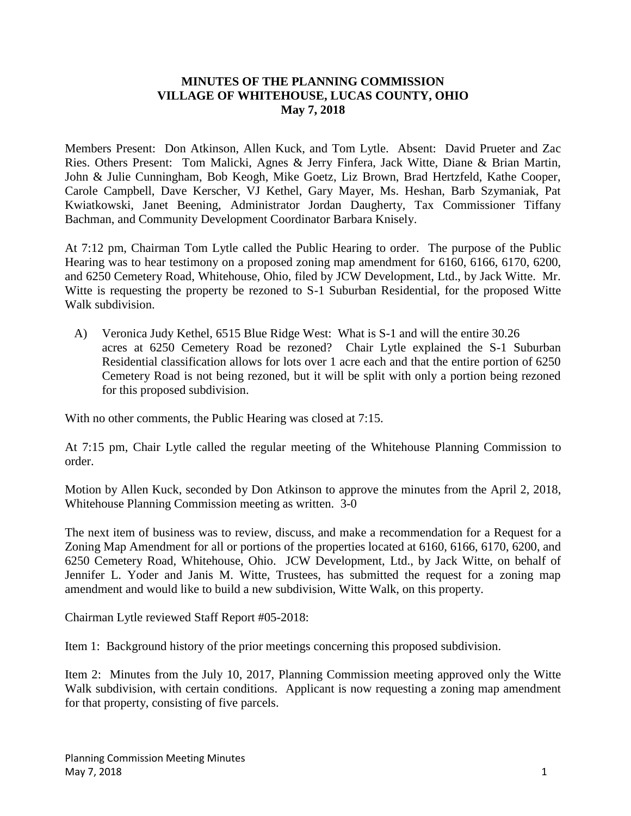## **MINUTES OF THE PLANNING COMMISSION VILLAGE OF WHITEHOUSE, LUCAS COUNTY, OHIO May 7, 2018**

Members Present: Don Atkinson, Allen Kuck, and Tom Lytle. Absent: David Prueter and Zac Ries. Others Present: Tom Malicki, Agnes & Jerry Finfera, Jack Witte, Diane & Brian Martin, John & Julie Cunningham, Bob Keogh, Mike Goetz, Liz Brown, Brad Hertzfeld, Kathe Cooper, Carole Campbell, Dave Kerscher, VJ Kethel, Gary Mayer, Ms. Heshan, Barb Szymaniak, Pat Kwiatkowski, Janet Beening, Administrator Jordan Daugherty, Tax Commissioner Tiffany Bachman, and Community Development Coordinator Barbara Knisely.

At 7:12 pm, Chairman Tom Lytle called the Public Hearing to order. The purpose of the Public Hearing was to hear testimony on a proposed zoning map amendment for 6160, 6166, 6170, 6200, and 6250 Cemetery Road, Whitehouse, Ohio, filed by JCW Development, Ltd., by Jack Witte. Mr. Witte is requesting the property be rezoned to S-1 Suburban Residential, for the proposed Witte Walk subdivision.

 A) Veronica Judy Kethel, 6515 Blue Ridge West: What is S-1 and will the entire 30.26 acres at 6250 Cemetery Road be rezoned? Chair Lytle explained the S-1 Suburban Residential classification allows for lots over 1 acre each and that the entire portion of 6250 Cemetery Road is not being rezoned, but it will be split with only a portion being rezoned for this proposed subdivision.

With no other comments, the Public Hearing was closed at 7:15.

At 7:15 pm, Chair Lytle called the regular meeting of the Whitehouse Planning Commission to order.

Motion by Allen Kuck, seconded by Don Atkinson to approve the minutes from the April 2, 2018, Whitehouse Planning Commission meeting as written. 3-0

The next item of business was to review, discuss, and make a recommendation for a Request for a Zoning Map Amendment for all or portions of the properties located at 6160, 6166, 6170, 6200, and 6250 Cemetery Road, Whitehouse, Ohio. JCW Development, Ltd., by Jack Witte, on behalf of Jennifer L. Yoder and Janis M. Witte, Trustees, has submitted the request for a zoning map amendment and would like to build a new subdivision, Witte Walk, on this property.

Chairman Lytle reviewed Staff Report #05-2018:

Item 1: Background history of the prior meetings concerning this proposed subdivision.

Item 2: Minutes from the July 10, 2017, Planning Commission meeting approved only the Witte Walk subdivision, with certain conditions. Applicant is now requesting a zoning map amendment for that property, consisting of five parcels.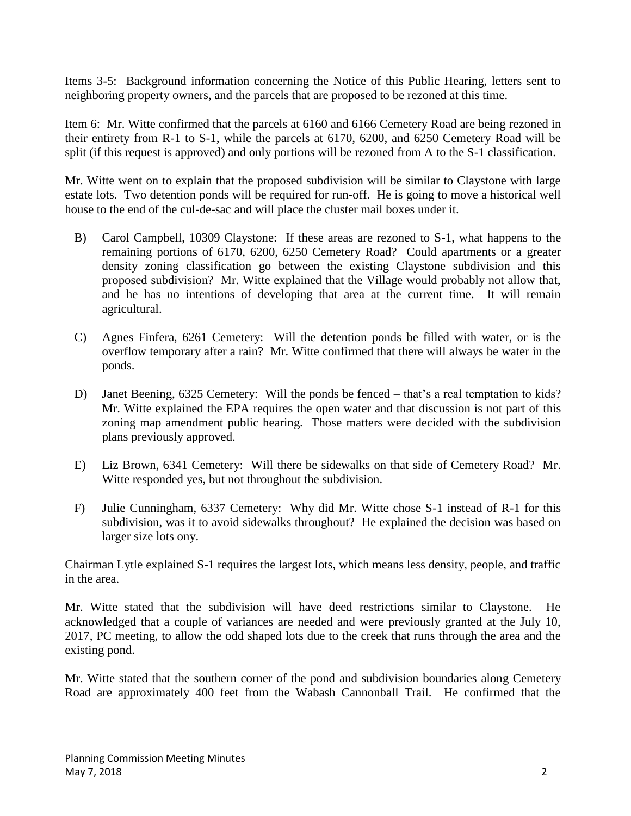Items 3-5: Background information concerning the Notice of this Public Hearing, letters sent to neighboring property owners, and the parcels that are proposed to be rezoned at this time.

Item 6: Mr. Witte confirmed that the parcels at 6160 and 6166 Cemetery Road are being rezoned in their entirety from R-1 to S-1, while the parcels at 6170, 6200, and 6250 Cemetery Road will be split (if this request is approved) and only portions will be rezoned from A to the S-1 classification.

Mr. Witte went on to explain that the proposed subdivision will be similar to Claystone with large estate lots. Two detention ponds will be required for run-off. He is going to move a historical well house to the end of the cul-de-sac and will place the cluster mail boxes under it.

- B) Carol Campbell, 10309 Claystone: If these areas are rezoned to S-1, what happens to the remaining portions of 6170, 6200, 6250 Cemetery Road? Could apartments or a greater density zoning classification go between the existing Claystone subdivision and this proposed subdivision? Mr. Witte explained that the Village would probably not allow that, and he has no intentions of developing that area at the current time. It will remain agricultural.
- C) Agnes Finfera, 6261 Cemetery: Will the detention ponds be filled with water, or is the overflow temporary after a rain? Mr. Witte confirmed that there will always be water in the ponds.
- D) Janet Beening, 6325 Cemetery: Will the ponds be fenced that's a real temptation to kids? Mr. Witte explained the EPA requires the open water and that discussion is not part of this zoning map amendment public hearing. Those matters were decided with the subdivision plans previously approved.
- E) Liz Brown, 6341 Cemetery: Will there be sidewalks on that side of Cemetery Road? Mr. Witte responded yes, but not throughout the subdivision.
- F) Julie Cunningham, 6337 Cemetery: Why did Mr. Witte chose S-1 instead of R-1 for this subdivision, was it to avoid sidewalks throughout? He explained the decision was based on larger size lots ony.

Chairman Lytle explained S-1 requires the largest lots, which means less density, people, and traffic in the area.

Mr. Witte stated that the subdivision will have deed restrictions similar to Claystone. He acknowledged that a couple of variances are needed and were previously granted at the July 10, 2017, PC meeting, to allow the odd shaped lots due to the creek that runs through the area and the existing pond.

Mr. Witte stated that the southern corner of the pond and subdivision boundaries along Cemetery Road are approximately 400 feet from the Wabash Cannonball Trail. He confirmed that the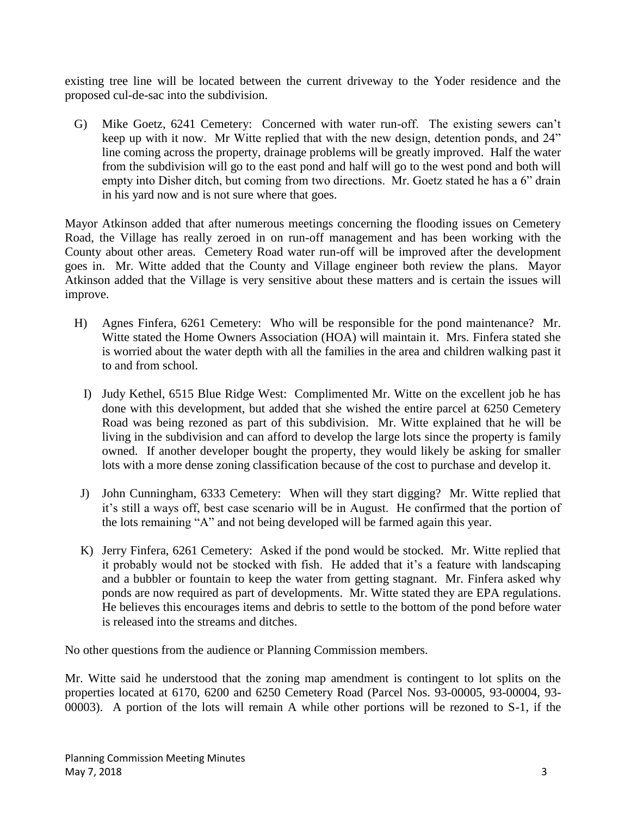existing tree line will be located between the current driveway to the Yoder residence and the proposed cul-de-sac into the subdivision.

G) Mike Goetz, 6241 Cemetery: Concerned with water run-off. The existing sewers can't keep up with it now. Mr Witte replied that with the new design, detention ponds, and 24" line coming across the property, drainage problems will be greatly improved. Half the water from the subdivision will go to the east pond and half will go to the west pond and both will empty into Disher ditch, but coming from two directions. Mr. Goetz stated he has a 6" drain in his yard now and is not sure where that goes.

Mayor Atkinson added that after numerous meetings concerning the flooding issues on Cemetery Road, the Village has really zeroed in on run-off management and has been working with the County about other areas. Cemetery Road water run-off will be improved after the development goes in. Mr. Witte added that the County and Village engineer both review the plans. Mayor Atkinson added that the Village is very sensitive about these matters and is certain the issues will improve.

- H) Agnes Finfera, 6261 Cemetery: Who will be responsible for the pond maintenance? Mr. Witte stated the Home Owners Association (HOA) will maintain it. Mrs. Finfera stated she is worried about the water depth with all the families in the area and children walking past it to and from school.
	- I) Judy Kethel, 6515 Blue Ridge West: Complimented Mr. Witte on the excellent job he has done with this development, but added that she wished the entire parcel at 6250 Cemetery Road was being rezoned as part of this subdivision. Mr. Witte explained that he will be living in the subdivision and can afford to develop the large lots since the property is family owned. If another developer bought the property, they would likely be asking for smaller lots with a more dense zoning classification because of the cost to purchase and develop it.
	- J) John Cunningham, 6333 Cemetery: When will they start digging? Mr. Witte replied that it's still a ways off, best case scenario will be in August. He confirmed that the portion of the lots remaining "A" and not being developed will be farmed again this year.
	- K) Jerry Finfera, 6261 Cemetery: Asked if the pond would be stocked. Mr. Witte replied that it probably would not be stocked with fish. He added that it's a feature with landscaping and a bubbler or fountain to keep the water from getting stagnant. Mr. Finfera asked why ponds are now required as part of developments. Mr. Witte stated they are EPA regulations. He believes this encourages items and debris to settle to the bottom of the pond before water is released into the streams and ditches.

No other questions from the audience or Planning Commission members.

Mr. Witte said he understood that the zoning map amendment is contingent to lot splits on the properties located at 6170, 6200 and 6250 Cemetery Road (Parcel Nos. 93-00005, 93-00004, 93- 00003). A portion of the lots will remain A while other portions will be rezoned to S-1, if the